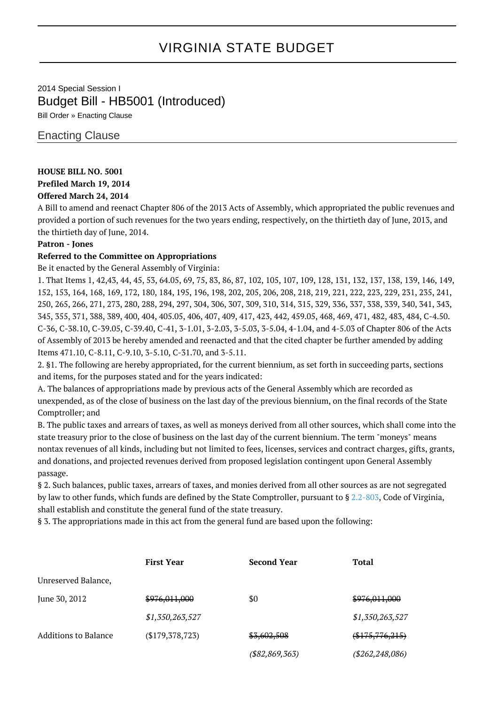# VIRGINIA STATE BUDGET

## 2014 Special Session I Budget Bill - HB5001 (Introduced)

Bill Order » Enacting Clause

### Enacting Clause

#### **HOUSE BILL NO. 5001**

#### **Prefiled March 19, 2014**

#### **Offered March 24, 2014**

A Bill to amend and reenact Chapter 806 of the 2013 Acts of Assembly, which appropriated the public revenues and provided a portion of such revenues for the two years ending, respectively, on the thirtieth day of June, 2013, and the thirtieth day of June, 2014.

#### **Patron - Jones**

#### **Referred to the Committee on Appropriations**

Be it enacted by the General Assembly of Virginia:

1. That Items 1, 42,43, 44, 45, 53, 64.05, 69, 75, 83, 86, 87, 102, 105, 107, 109, 128, 131, 132, 137, 138, 139, 146, 149, 152, 153, 164, 168, 169, 172, 180, 184, 195, 196, 198, 202, 205, 206, 208, 218, 219, 221, 222, 223, 229, 231, 235, 241, 250, 265, 266, 271, 273, 280, 288, 294, 297, 304, 306, 307, 309, 310, 314, 315, 329, 336, 337, 338, 339, 340, 341, 343, 345, 355, 371, 388, 389, 400, 404, 405.05, 406, 407, 409, 417, 423, 442, 459.05, 468, 469, 471, 482, 483, 484, C-4.50. C-36, C-38.10, C-39.05, C-39.40, C-41, 3-1.01, 3-2.03, 3-5.03, 3-5.04, 4-1.04, and 4-5.03 of Chapter 806 of the Acts of Assembly of 2013 be hereby amended and reenacted and that the cited chapter be further amended by adding Items 471.10, C-8.11, C-9.10, 3-5.10, C-31.70, and 3-5.11.

2. §1. The following are hereby appropriated, for the current biennium, as set forth in succeeding parts, sections and items, for the purposes stated and for the years indicated:

A. The balances of appropriations made by previous acts of the General Assembly which are recorded as unexpended, as of the close of business on the last day of the previous biennium, on the final records of the State Comptroller; and

B. The public taxes and arrears of taxes, as well as moneys derived from all other sources, which shall come into the state treasury prior to the close of business on the last day of the current biennium. The term "moneys" means nontax revenues of all kinds, including but not limited to fees, licenses, services and contract charges, gifts, grants, and donations, and projected revenues derived from proposed legislation contingent upon General Assembly passage.

§ 2. Such balances, public taxes, arrears of taxes, and monies derived from all other sources as are not segregated by law to other funds, which funds are defined by the State Comptroller, pursuant to § [2.2-803,](http://law.lis.virginia.gov/vacode/2.2-803/) Code of Virginia, shall establish and constitute the general fund of the state treasury.

§ 3. The appropriations made in this act from the general fund are based upon the following:

|                      | <b>First Year</b> | <b>Second Year</b> | <b>Total</b>      |
|----------------------|-------------------|--------------------|-------------------|
| Unreserved Balance,  |                   |                    |                   |
| June 30, 2012        | \$976,011,000     | \$0                | \$976,011,000     |
|                      | \$1,350,263,527   |                    | \$1,350,263,527   |
| Additions to Balance | (\$179,378,723)   | \$3,602,508        | $(*175,776,215)$  |
|                      |                   | $($ \$82,869,363)  | (\$262, 248, 086) |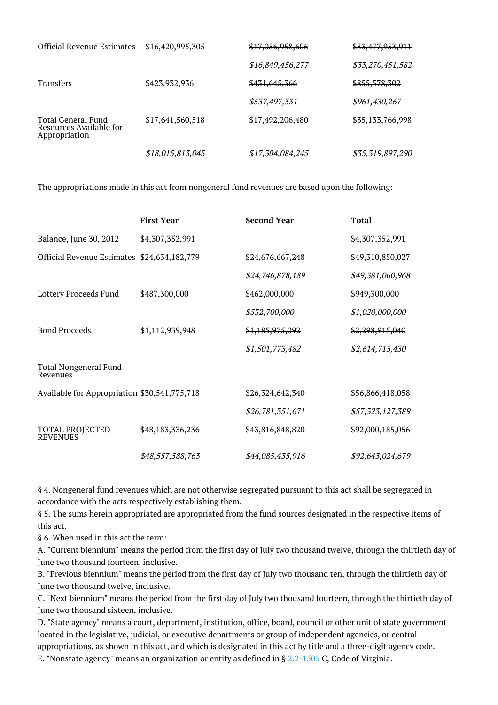| <b>Official Revenue Estimates</b>                              | \$16,420,995,305 | <del>\$17,056,958,606</del> | <del>\$33,477,953,911</del> |
|----------------------------------------------------------------|------------------|-----------------------------|-----------------------------|
|                                                                |                  | \$16,849,456,277            | \$33,270,451,582            |
| <b>Transfers</b>                                               | \$423,932,936    | \$431,645,366               | \$855,578,302               |
|                                                                |                  | \$537,497,331               | \$961,430,267               |
| Total General Fund<br>Resources Available for<br>Appropriation | \$17,641,560,518 | \$17,492,206,480            | <del>\$35,133,766,998</del> |
|                                                                | \$18,015,813,045 | \$17,304,084,245            | \$35,319,897,290            |

The appropriations made in this act from nongeneral fund revenues are based upon the following:

|                                              | <b>First Year</b> | <b>Second Year</b> | <b>Total</b>     |
|----------------------------------------------|-------------------|--------------------|------------------|
| Balance, June 30, 2012                       | \$4,307,352,991   |                    | \$4,307,352,991  |
| Official Revenue Estimates                   | \$24,634,182,779  | \$24,676,667,248   | \$49,310,850,027 |
|                                              |                   | \$24,746,878,189   | \$49,381,060,968 |
| Lottery Proceeds Fund                        | \$487,300,000     | \$462,000,000      | \$949,300,000    |
|                                              |                   | \$532,700,000      | \$1,020,000,000  |
| <b>Bond Proceeds</b>                         | \$1,112,939,948   | \$1,185,975,092    | \$2,298,915,040  |
|                                              |                   | \$1,501,773,482    | \$2,614,713,430  |
| <b>Total Nongeneral Fund</b><br>Revenues     |                   |                    |                  |
| Available for Appropriation \$30,541,775,718 |                   | \$26,324,642,340   | \$56,866,418,058 |
|                                              |                   | \$26,781,351,671   | \$57,323,127,389 |
| <b>TOTAL PROJECTED</b><br><b>REVENUES</b>    | \$48,183,336,236  | \$43,816,848,820   | \$92,000,185,056 |
|                                              | \$48,557,588,763  | \$44,085,435,916   | \$92,643,024,679 |

§ 4. Nongeneral fund revenues which are not otherwise segregated pursuant to this act shall be segregated in accordance with the acts respectively establishing them.

§ 5. The sums herein appropriated are appropriated from the fund sources designated in the respective items of this act.

§ 6. When used in this act the term:

A. "Current biennium" means the period from the first day of July two thousand twelve, through the thirtieth day of June two thousand fourteen, inclusive.

B. "Previous biennium" means the period from the first day of July two thousand ten, through the thirtieth day of June two thousand twelve, inclusive.

C. "Next biennium" means the period from the first day of July two thousand fourteen, through the thirtieth day of June two thousand sixteen, inclusive.

D. "State agency" means a court, department, institution, office, board, council or other unit of state government located in the legislative, judicial, or executive departments or group of independent agencies, or central appropriations, as shown in this act, and which is designated in this act by title and a three-digit agency code. E. "Nonstate agency" means an organization or entity as defined in § [2.2-1505](http://law.lis.virginia.gov/vacode/2.2-1505/) C, Code of Virginia.